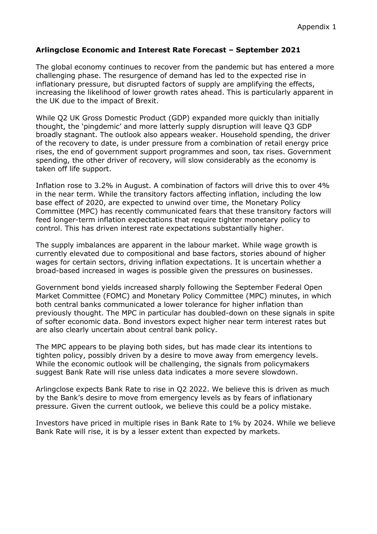## **Arlingclose Economic and Interest Rate Forecast – September 2021**

The global economy continues to recover from the pandemic but has entered a more challenging phase. The resurgence of demand has led to the expected rise in inflationary pressure, but disrupted factors of supply are amplifying the effects, increasing the likelihood of lower growth rates ahead. This is particularly apparent in the UK due to the impact of Brexit.

While Q2 UK Gross Domestic Product (GDP) expanded more quickly than initially thought, the 'pingdemic' and more latterly supply disruption will leave Q3 GDP broadly stagnant. The outlook also appears weaker. Household spending, the driver of the recovery to date, is under pressure from a combination of retail energy price rises, the end of government support programmes and soon, tax rises. Government spending, the other driver of recovery, will slow considerably as the economy is taken off life support.

Inflation rose to 3.2% in August. A combination of factors will drive this to over 4% in the near term. While the transitory factors affecting inflation, including the low base effect of 2020, are expected to unwind over time, the Monetary Policy Committee (MPC) has recently communicated fears that these transitory factors will feed longer-term inflation expectations that require tighter monetary policy to control. This has driven interest rate expectations substantially higher.

The supply imbalances are apparent in the labour market. While wage growth is currently elevated due to compositional and base factors, stories abound of higher wages for certain sectors, driving inflation expectations. It is uncertain whether a broad-based increased in wages is possible given the pressures on businesses.

Government bond yields increased sharply following the September Federal Open Market Committee (FOMC) and Monetary Policy Committee (MPC) minutes, in which both central banks communicated a lower tolerance for higher inflation than previously thought. The MPC in particular has doubled-down on these signals in spite of softer economic data. Bond investors expect higher near term interest rates but are also clearly uncertain about central bank policy.

The MPC appears to be playing both sides, but has made clear its intentions to tighten policy, possibly driven by a desire to move away from emergency levels. While the economic outlook will be challenging, the signals from policymakers suggest Bank Rate will rise unless data indicates a more severe slowdown.

Arlingclose expects Bank Rate to rise in Q2 2022. We believe this is driven as much by the Bank's desire to move from emergency levels as by fears of inflationary pressure. Given the current outlook, we believe this could be a policy mistake.

Investors have priced in multiple rises in Bank Rate to 1% by 2024. While we believe Bank Rate will rise, it is by a lesser extent than expected by markets.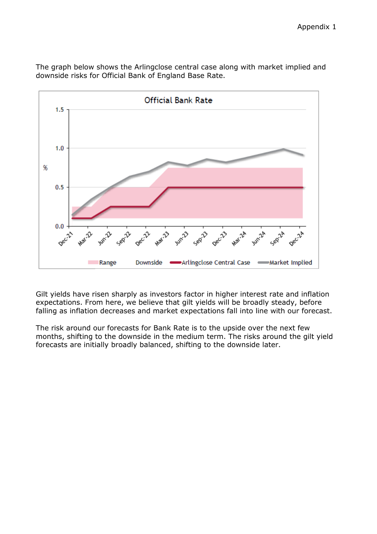

The graph below shows the Arlingclose central case along with market implied and downside risks for Official Bank of England Base Rate.

Gilt yields have risen sharply as investors factor in higher interest rate and inflation expectations. From here, we believe that gilt yields will be broadly steady, before falling as inflation decreases and market expectations fall into line with our forecast.

The risk around our forecasts for Bank Rate is to the upside over the next few months, shifting to the downside in the medium term. The risks around the gilt yield forecasts are initially broadly balanced, shifting to the downside later.